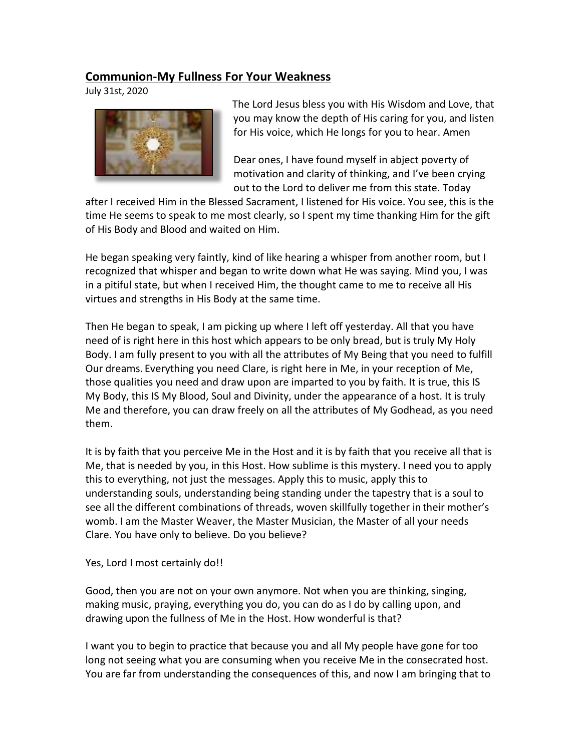## **Communion-My Fullness For Your Weakness**

July 31st, 2020



The Lord Jesus bless you with His Wisdom and Love, that you may know the depth of His caring for you, and listen for His voice, which He longs for you to hear. Amen

Dear ones, I have found myself in abject poverty of motivation and clarity of thinking, and I've been crying out to the Lord to deliver me from this state. Today

after I received Him in the Blessed Sacrament, I listened for His voice. You see, this is the time He seems to speak to me most clearly, so I spent my time thanking Him for the gift of His Body and Blood and waited on Him.   

He began speaking very faintly, kind of like hearing a whisper from another room, but I recognized that whisper and began to write down what He was saying. Mind you, I was in a pitiful state, but when I received Him, the thought came to me to receive all His virtues and strengths in His Body at the same time.   

Then He began to speak, I am picking up where I left off yesterday. All that you have need of is right here in this host which appears to be only bread, but is truly My Holy Body. I am fully present to you with all the attributes of My Being that you need to fulfill Our dreams. Everything you need Clare, is right here in Me, in your reception of Me, those qualities you need and draw upon are imparted to you by faith. It is true, this IS My Body, this IS My Blood, Soul and Divinity, under the appearance of a host. It is truly Me and therefore, you can draw freely on all the attributes of My Godhead, as you need them.   

It is by faith that you perceive Me in the Host and it is by faith that you receive all that is Me, that is needed by you, in this Host. How sublime is this mystery. I need you to apply this to everything, not just the messages. Apply this to music, apply this to understanding souls, understanding being standing under the tapestry that is a soul to see all the different combinations of threads, woven skillfully together in their mother's womb. I am the Master Weaver, the Master Musician, the Master of all your needs Clare. You have only to believe. Do you believe?

Yes, Lord I most certainly do!!

Good, then you are not on your own anymore. Not when you are thinking, singing, making music, praying, everything you do, you can do as I do by calling upon, and drawing upon the fullness of Me in the Host. How wonderful is that?

I want you to begin to practice that because you and all My people have gone for too long not seeing what you are consuming when you receive Me in the consecrated host. You are far from understanding the consequences of this, and now I am bringing that to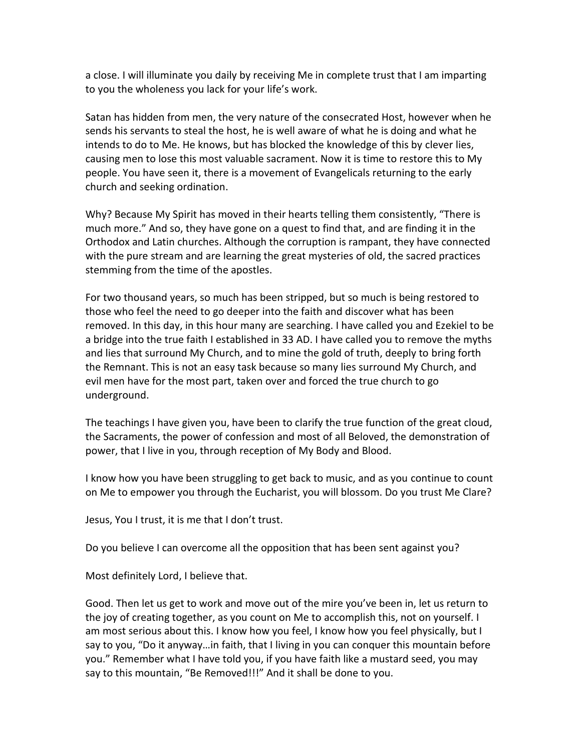a close. I will illuminate you daily by receiving Me in complete trust that I am imparting to you the wholeness you lack for your life's work.

Satan has hidden from men, the very nature of the consecrated Host, however when he sends his servants to steal the host, he is well aware of what he is doing and what he intends to do to Me. He knows, but has blocked the knowledge of this by clever lies, causing men to lose this most valuable sacrament. Now it is time to restore this to My people. You have seen it, there is a movement of Evangelicals returning to the early church and seeking ordination.

Why? Because My Spirit has moved in their hearts telling them consistently, "There is much more." And so, they have gone on a quest to find that, and are finding it in the Orthodox and Latin churches. Although the corruption is rampant, they have connected with the pure stream and are learning the great mysteries of old, the sacred practices stemming from the time of the apostles.

For two thousand years, so much has been stripped, but so much is being restored to those who feel the need to go deeper into the faith and discover what has been removed. In this day, in this hour many are searching. I have called you and Ezekiel to be a bridge into the true faith I established in 33 AD. I have called you to remove the myths and lies that surround My Church, and to mine the gold of truth, deeply to bring forth the Remnant. This is not an easy task because so many lies surround My Church, and evil men have for the most part, taken over and forced the true church to go underground.

The teachings I have given you, have been to clarify the true function of the great cloud, the Sacraments, the power of confession and most of all Beloved, the demonstration of power, that I live in you, through reception of My Body and Blood.     

I know how you have been struggling to get back to music, and as you continue to count on Me to empower you through the Eucharist, you will blossom. Do you trust Me Clare?

Jesus, You I trust, it is me that I don't trust.   

Do you believe I can overcome all the opposition that has been sent against you?

Most definitely Lord, I believe that.

Good. Then let us get to work and move out of the mire you've been in, let us return to the joy of creating together, as you count on Me to accomplish this, not on yourself. I am most serious about this. I know how you feel, I know how you feel physically, but I say to you, "Do it anyway…in faith, that I living in you can conquer this mountain before you." Remember what I have told you, if you have faith like a mustard seed, you may say to this mountain, "Be Removed!!!" And it shall be done to you.